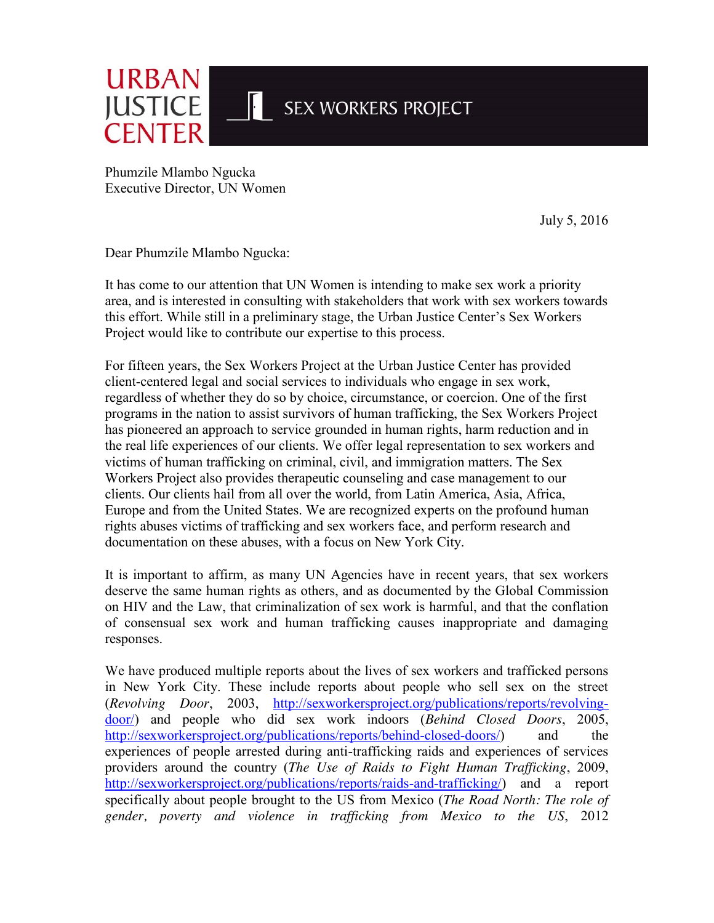

Phumzile Mlambo Ngucka Executive Director, UN Women

July 5, 2016

Dear Phumzile Mlambo Ngucka:

It has come to our attention that UN Women is intending to make sex work a priority area, and is interested in consulting with stakeholders that work with sex workers towards this effort. While still in a preliminary stage, the Urban Justice Center's Sex Workers Project would like to contribute our expertise to this process.

For fifteen years, the Sex Workers Project at the Urban Justice Center has provided client-centered legal and social services to individuals who engage in sex work, regardless of whether they do so by choice, circumstance, or coercion. One of the first programs in the nation to assist survivors of human trafficking, the Sex Workers Project has pioneered an approach to service grounded in human rights, harm reduction and in the real life experiences of our clients. We offer legal representation to sex workers and victims of human trafficking on criminal, civil, and immigration matters. The Sex Workers Project also provides therapeutic counseling and case management to our clients. Our clients hail from all over the world, from Latin America, Asia, Africa, Europe and from the United States. We are recognized experts on the profound human rights abuses victims of trafficking and sex workers face, and perform research and documentation on these abuses, with a focus on New York City.

It is important to affirm, as many UN Agencies have in recent years, that sex workers deserve the same human rights as others, and as documented by the Global Commission on HIV and the Law, that criminalization of sex work is harmful, and that the conflation of consensual sex work and human trafficking causes inappropriate and damaging responses.

We have produced multiple reports about the lives of sex workers and trafficked persons in New York City. These include reports about people who sell sex on the street (*Revolving Door*, 2003, [http://sexworkersproject.org/publications/reports/revolving](http://sexworkersproject.org/publications/reports/revolving-door/)[door/\)](http://sexworkersproject.org/publications/reports/revolving-door/) and people who did sex work indoors (*Behind Closed Doors*, 2005, [http://sexworkersproject.org/publications/reports/behind-closed-doors/\)](http://sexworkersproject.org/publications/reports/behind-closed-doors/) and the experiences of people arrested during anti-trafficking raids and experiences of services providers around the country (*The Use of Raids to Fight Human Trafficking*, 2009, [http://sexworkersproject.org/publications/reports/raids-and-trafficking/\)](http://sexworkersproject.org/publications/reports/raids-and-trafficking/) and a report specifically about people brought to the US from Mexico (*The Road North: The role of gender, poverty and violence in trafficking from Mexico to the US*, 2012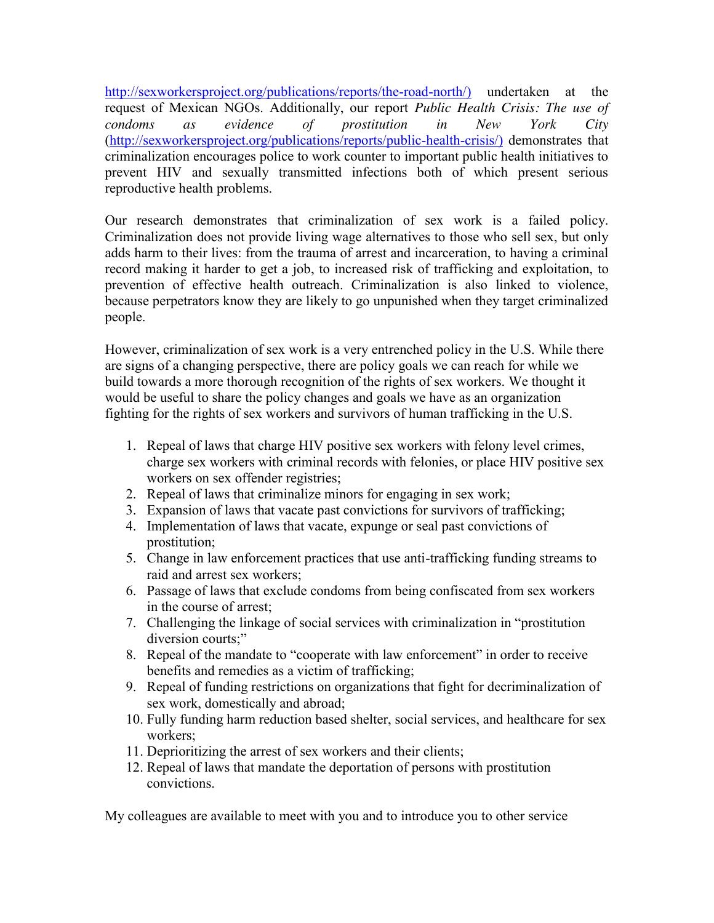[http://sexworkersproject.org/publications/reports/the-road-north/\)](http://sexworkersproject.org/publications/reports/the-road-north/)) undertaken at the request of Mexican NGOs. Additionally, our report *Public Health Crisis: The use of condoms as evidence of prostitution in New York City* [\(http://sexworkersproject.org/publications/reports/public-health-crisis/\)](http://sexworkersproject.org/publications/reports/public-health-crisis/)) demonstrates that criminalization encourages police to work counter to important public health initiatives to prevent HIV and sexually transmitted infections both of which present serious reproductive health problems.

Our research demonstrates that criminalization of sex work is a failed policy. Criminalization does not provide living wage alternatives to those who sell sex, but only adds harm to their lives: from the trauma of arrest and incarceration, to having a criminal record making it harder to get a job, to increased risk of trafficking and exploitation, to prevention of effective health outreach. Criminalization is also linked to violence, because perpetrators know they are likely to go unpunished when they target criminalized people.

However, criminalization of sex work is a very entrenched policy in the U.S. While there are signs of a changing perspective, there are policy goals we can reach for while we build towards a more thorough recognition of the rights of sex workers. We thought it would be useful to share the policy changes and goals we have as an organization fighting for the rights of sex workers and survivors of human trafficking in the U.S.

- 1. Repeal of laws that charge HIV positive sex workers with felony level crimes, charge sex workers with criminal records with felonies, or place HIV positive sex workers on sex offender registries;
- 2. Repeal of laws that criminalize minors for engaging in sex work;
- 3. Expansion of laws that vacate past convictions for survivors of trafficking;
- 4. Implementation of laws that vacate, expunge or seal past convictions of prostitution;
- 5. Change in law enforcement practices that use anti-trafficking funding streams to raid and arrest sex workers;
- 6. Passage of laws that exclude condoms from being confiscated from sex workers in the course of arrest;
- 7. Challenging the linkage of social services with criminalization in "prostitution diversion courts;"
- 8. Repeal of the mandate to "cooperate with law enforcement" in order to receive benefits and remedies as a victim of trafficking;
- 9. Repeal of funding restrictions on organizations that fight for decriminalization of sex work, domestically and abroad;
- 10. Fully funding harm reduction based shelter, social services, and healthcare for sex workers;
- 11. Deprioritizing the arrest of sex workers and their clients;
- 12. Repeal of laws that mandate the deportation of persons with prostitution convictions.

My colleagues are available to meet with you and to introduce you to other service